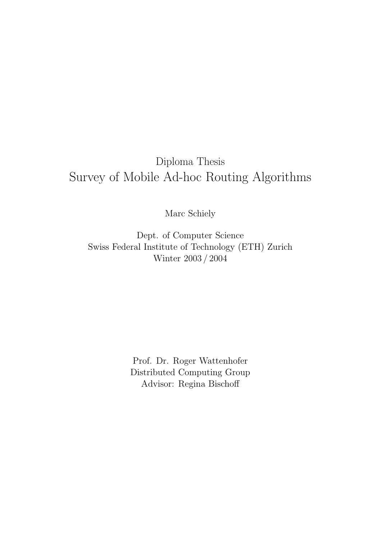## Diploma Thesis Survey of Mobile Ad-hoc Routing Algorithms

Marc Schiely

Dept. of Computer Science Swiss Federal Institute of Technology (ETH) Zurich Winter 2003 / 2004

> Prof. Dr. Roger Wattenhofer Distributed Computing Group Advisor: Regina Bischoff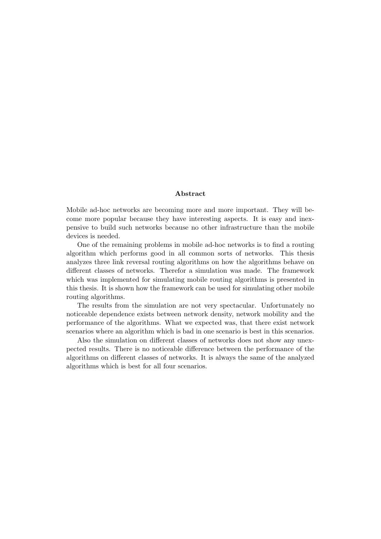#### Abstract

Mobile ad-hoc networks are becoming more and more important. They will become more popular because they have interesting aspects. It is easy and inexpensive to build such networks because no other infrastructure than the mobile devices is needed.

One of the remaining problems in mobile ad-hoc networks is to find a routing algorithm which performs good in all common sorts of networks. This thesis analyzes three link reversal routing algorithms on how the algorithms behave on different classes of networks. Therefor a simulation was made. The framework which was implemented for simulating mobile routing algorithms is presented in this thesis. It is shown how the framework can be used for simulating other mobile routing algorithms.

The results from the simulation are not very spectacular. Unfortunately no noticeable dependence exists between network density, network mobility and the performance of the algorithms. What we expected was, that there exist network scenarios where an algorithm which is bad in one scenario is best in this scenarios.

Also the simulation on different classes of networks does not show any unexpected results. There is no noticeable difference between the performance of the algorithms on different classes of networks. It is always the same of the analyzed algorithms which is best for all four scenarios.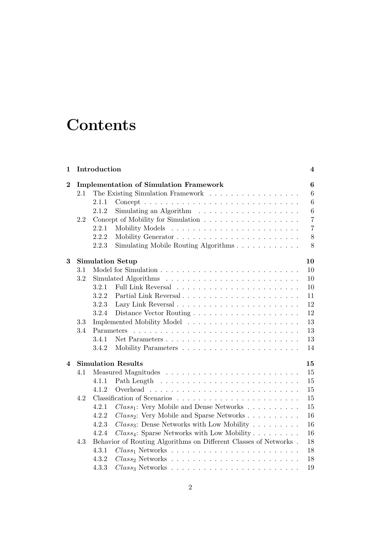# **Contents**

| 1        |                           | Introduction                                                                                                                                                                                                                                |                                                                     | 4                   |  |  |  |  |  |  |  |  |  |
|----------|---------------------------|---------------------------------------------------------------------------------------------------------------------------------------------------------------------------------------------------------------------------------------------|---------------------------------------------------------------------|---------------------|--|--|--|--|--|--|--|--|--|
| $\bf{2}$ |                           |                                                                                                                                                                                                                                             | <b>Implementation of Simulation Framework</b>                       | $\boldsymbol{6}$    |  |  |  |  |  |  |  |  |  |
|          | 2.1                       |                                                                                                                                                                                                                                             | The Existing Simulation Framework                                   | 6                   |  |  |  |  |  |  |  |  |  |
|          |                           | 2.1.1                                                                                                                                                                                                                                       |                                                                     | 6                   |  |  |  |  |  |  |  |  |  |
|          |                           | 2.1.2                                                                                                                                                                                                                                       | Simulating an Algorithm $\ldots \ldots \ldots \ldots \ldots \ldots$ | 6<br>$\overline{7}$ |  |  |  |  |  |  |  |  |  |
|          | 2.2                       |                                                                                                                                                                                                                                             |                                                                     |                     |  |  |  |  |  |  |  |  |  |
|          |                           | 2.2.1                                                                                                                                                                                                                                       |                                                                     | $\overline{7}$      |  |  |  |  |  |  |  |  |  |
|          |                           | 2.2.2                                                                                                                                                                                                                                       |                                                                     | $8\,$               |  |  |  |  |  |  |  |  |  |
|          |                           | 2.2.3                                                                                                                                                                                                                                       | Simulating Mobile Routing Algorithms                                | 8                   |  |  |  |  |  |  |  |  |  |
| 3        |                           |                                                                                                                                                                                                                                             | <b>Simulation Setup</b>                                             | 10                  |  |  |  |  |  |  |  |  |  |
|          | 3.1                       |                                                                                                                                                                                                                                             |                                                                     | 10                  |  |  |  |  |  |  |  |  |  |
|          | 3.2                       |                                                                                                                                                                                                                                             |                                                                     | 10                  |  |  |  |  |  |  |  |  |  |
|          |                           | 3.2.1                                                                                                                                                                                                                                       |                                                                     | 10                  |  |  |  |  |  |  |  |  |  |
|          |                           | 3.2.2                                                                                                                                                                                                                                       | Partial Link Reversal                                               | 11                  |  |  |  |  |  |  |  |  |  |
|          |                           | 3.2.3                                                                                                                                                                                                                                       |                                                                     | 12                  |  |  |  |  |  |  |  |  |  |
|          |                           | 3.2.4                                                                                                                                                                                                                                       |                                                                     | 12                  |  |  |  |  |  |  |  |  |  |
|          | 3.3                       |                                                                                                                                                                                                                                             |                                                                     | 13                  |  |  |  |  |  |  |  |  |  |
|          | 3.4                       | Parameters<br>and a construction of the construction of the construction of the construction of the construction of the construction of the construction of the construction of the construction of the construction of the construction of |                                                                     |                     |  |  |  |  |  |  |  |  |  |
|          |                           | 3.4.1                                                                                                                                                                                                                                       | Net Parameters                                                      | 13                  |  |  |  |  |  |  |  |  |  |
|          |                           | 3.4.2                                                                                                                                                                                                                                       |                                                                     | 14                  |  |  |  |  |  |  |  |  |  |
| 4        | <b>Simulation Results</b> |                                                                                                                                                                                                                                             |                                                                     |                     |  |  |  |  |  |  |  |  |  |
|          | 4.1                       |                                                                                                                                                                                                                                             |                                                                     |                     |  |  |  |  |  |  |  |  |  |
|          |                           | 4.1.1                                                                                                                                                                                                                                       |                                                                     | 15                  |  |  |  |  |  |  |  |  |  |
|          |                           | 4.1.2                                                                                                                                                                                                                                       |                                                                     | 15                  |  |  |  |  |  |  |  |  |  |
|          | 4.2                       |                                                                                                                                                                                                                                             |                                                                     | 15                  |  |  |  |  |  |  |  |  |  |
|          |                           | 4.2.1                                                                                                                                                                                                                                       | $Class_1$ : Very Mobile and Dense Networks                          | 15                  |  |  |  |  |  |  |  |  |  |
|          |                           | 4.2.2                                                                                                                                                                                                                                       | $Class_2$ : Very Mobile and Sparse Networks                         | 16                  |  |  |  |  |  |  |  |  |  |
|          |                           | 4.2.3                                                                                                                                                                                                                                       | $Class_3$ : Dense Networks with Low Mobility                        | 16                  |  |  |  |  |  |  |  |  |  |
|          |                           | 4.2.4                                                                                                                                                                                                                                       | $Class_4$ : Sparse Networks with Low Mobility                       | 16                  |  |  |  |  |  |  |  |  |  |
|          | 4.3                       | Behavior of Routing Algorithms on Different Classes of Networks.<br>18                                                                                                                                                                      |                                                                     |                     |  |  |  |  |  |  |  |  |  |
|          |                           | 4.3.1                                                                                                                                                                                                                                       |                                                                     | 18                  |  |  |  |  |  |  |  |  |  |
|          |                           | 4.3.2                                                                                                                                                                                                                                       |                                                                     | 18                  |  |  |  |  |  |  |  |  |  |
|          |                           | 4.3.3                                                                                                                                                                                                                                       |                                                                     | 19                  |  |  |  |  |  |  |  |  |  |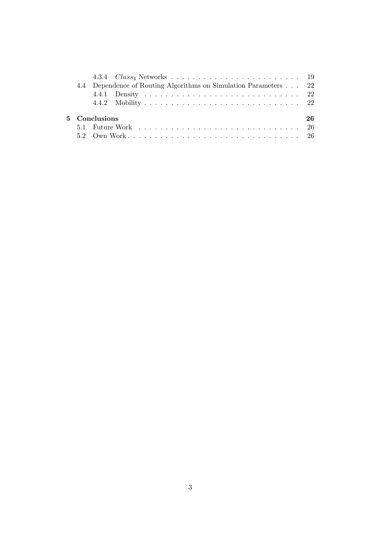|               |  |  | 4.4 Dependence of Routing Algorithms on Simulation Parameters 22 |  |  |  |  |  |  |  |  |  |    |
|---------------|--|--|------------------------------------------------------------------|--|--|--|--|--|--|--|--|--|----|
|               |  |  |                                                                  |  |  |  |  |  |  |  |  |  |    |
|               |  |  |                                                                  |  |  |  |  |  |  |  |  |  |    |
|               |  |  |                                                                  |  |  |  |  |  |  |  |  |  | 26 |
| 5 Conclusions |  |  |                                                                  |  |  |  |  |  |  |  |  |  |    |
|               |  |  |                                                                  |  |  |  |  |  |  |  |  |  |    |
|               |  |  |                                                                  |  |  |  |  |  |  |  |  |  |    |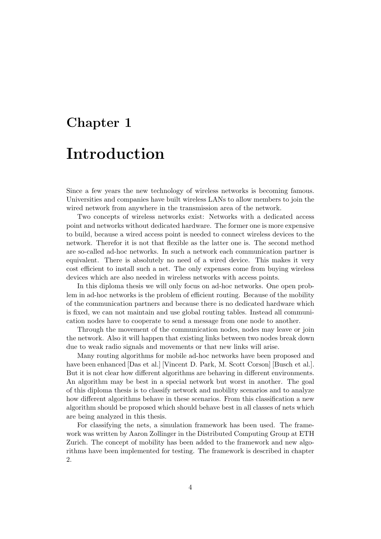# Chapter 1 Introduction

Since a few years the new technology of wireless networks is becoming famous. Universities and companies have built wireless LANs to allow members to join the wired network from anywhere in the transmission area of the network.

Two concepts of wireless networks exist: Networks with a dedicated access point and networks without dedicated hardware. The former one is more expensive to build, because a wired access point is needed to connect wireless devices to the network. Therefor it is not that flexible as the latter one is. The second method are so-called ad-hoc networks. In such a network each communication partner is equivalent. There is absolutely no need of a wired device. This makes it very cost efficient to install such a net. The only expenses come from buying wireless devices which are also needed in wireless networks with access points.

In this diploma thesis we will only focus on ad-hoc networks. One open problem in ad-hoc networks is the problem of efficient routing. Because of the mobility of the communication partners and because there is no dedicated hardware which is fixed, we can not maintain and use global routing tables. Instead all communication nodes have to cooperate to send a message from one node to another.

Through the movement of the communication nodes, nodes may leave or join the network. Also it will happen that existing links between two nodes break down due to weak radio signals and movements or that new links will arise.

Many routing algorithms for mobile ad-hoc networks have been proposed and have been enhanced [Das et al.] [Vincent D. Park, M. Scott Corson] [Busch et al.]. But it is not clear how different algorithms are behaving in different environments. An algorithm may be best in a special network but worst in another. The goal of this diploma thesis is to classify network and mobility scenarios and to analyze how different algorithms behave in these scenarios. From this classification a new algorithm should be proposed which should behave best in all classes of nets which are being analyzed in this thesis.

For classifying the nets, a simulation framework has been used. The framework was written by Aaron Zollinger in the Distributed Computing Group at ETH Zurich. The concept of mobility has been added to the framework and new algorithms have been implemented for testing. The framework is described in chapter 2.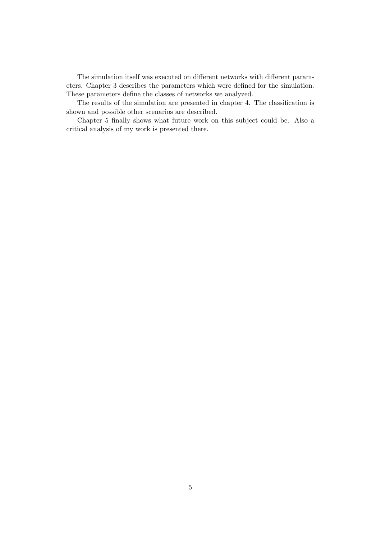The simulation itself was executed on different networks with different parameters. Chapter 3 describes the parameters which were defined for the simulation. These parameters define the classes of networks we analyzed.

The results of the simulation are presented in chapter 4. The classification is shown and possible other scenarios are described.

Chapter 5 finally shows what future work on this subject could be. Also a critical analysis of my work is presented there.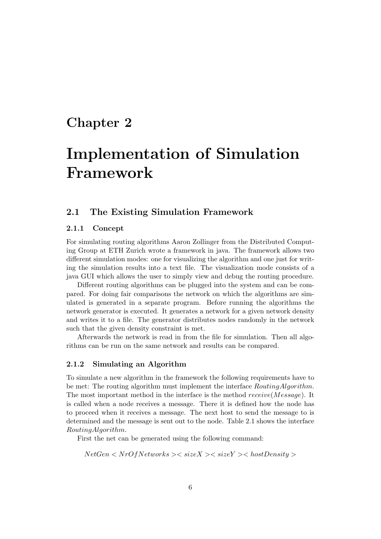### Chapter 2

# Implementation of Simulation Framework

#### 2.1 The Existing Simulation Framework

#### 2.1.1 Concept

For simulating routing algorithms Aaron Zollinger from the Distributed Computing Group at ETH Zurich wrote a framework in java. The framework allows two different simulation modes: one for visualizing the algorithm and one just for writing the simulation results into a text file. The visualization mode consists of a java GUI which allows the user to simply view and debug the routing procedure.

Different routing algorithms can be plugged into the system and can be compared. For doing fair comparisons the network on which the algorithms are simulated is generated in a separate program. Before running the algorithms the network generator is executed. It generates a network for a given network density and writes it to a file. The generator distributes nodes randomly in the network such that the given density constraint is met.

Afterwards the network is read in from the file for simulation. Then all algorithms can be run on the same network and results can be compared.

#### 2.1.2 Simulating an Algorithm

To simulate a new algorithm in the framework the following requirements have to be met: The routing algorithm must implement the interface RoutingAlgorithm. The most important method in the interface is the method receive(Message). It is called when a node receives a message. There it is defined how the node has to proceed when it receives a message. The next host to send the message to is determined and the message is sent out to the node. Table 2.1 shows the interface RoutingAlgorithm.

First the net can be generated using the following command:

 $NetGen < NrOfNetworks > < size X > < size Y > < hostDensity >$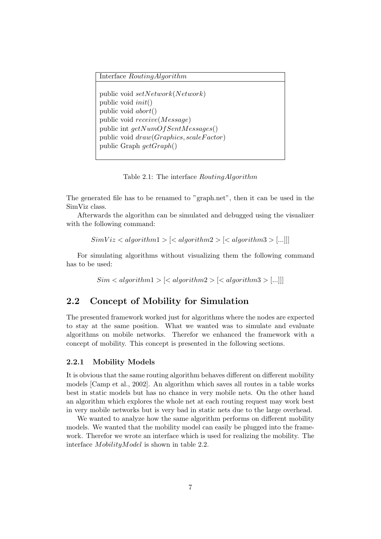```
Interface RoutingAlgorithm
public void setNetwork(Network)
public void init()
public void abort()
public void receive(Message)
public int getNumOfSentMessages()public void draw(Graphics, scaleFactor)public Graph getGraph()
```
Table 2.1: The interface RoutingAlgorithm

The generated file has to be renamed to "graph.net", then it can be used in the SimViz class.

Afterwards the algorithm can be simulated and debugged using the visualizer with the following command:

 $SimViz < algorithm1 > |< algorithm2 > |< algorithm3 > [...]$ 

For simulating algorithms without visualizing them the following command has to be used:

 $Sim < algorithm1 > | < algorithm2 > | < algorithm3 > |...||$ 

#### 2.2 Concept of Mobility for Simulation

The presented framework worked just for algorithms where the nodes are expected to stay at the same position. What we wanted was to simulate and evaluate algorithms on mobile networks. Therefor we enhanced the framework with a concept of mobility. This concept is presented in the following sections.

#### 2.2.1 Mobility Models

It is obvious that the same routing algorithm behaves different on different mobility models [Camp et al., 2002]. An algorithm which saves all routes in a table works best in static models but has no chance in very mobile nets. On the other hand an algorithm which explores the whole net at each routing request may work best in very mobile networks but is very bad in static nets due to the large overhead.

We wanted to analyze how the same algorithm performs on different mobility models. We wanted that the mobility model can easily be plugged into the framework. Therefor we wrote an interface which is used for realizing the mobility. The interface MobilityModel is shown in table 2.2.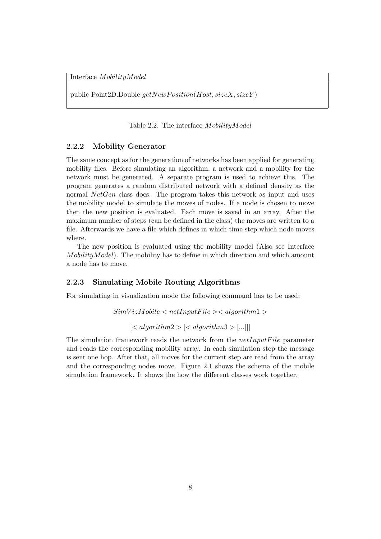Interface MobilityModel

public Point2D.Double  $getNewPosition(Host, sizeX, sizeY)$ 

Table 2.2: The interface MobilityModel

#### 2.2.2 Mobility Generator

The same concept as for the generation of networks has been applied for generating mobility files. Before simulating an algorithm, a network and a mobility for the network must be generated. A separate program is used to achieve this. The program generates a random distributed network with a defined density as the normal NetGen class does. The program takes this network as input and uses the mobility model to simulate the moves of nodes. If a node is chosen to move then the new position is evaluated. Each move is saved in an array. After the maximum number of steps (can be defined in the class) the moves are written to a file. Afterwards we have a file which defines in which time step which node moves where.

The new position is evaluated using the mobility model (Also see Interface  $MobilityModel$ ). The mobility has to define in which direction and which amount a node has to move.

#### 2.2.3 Simulating Mobile Routing Algorithms

For simulating in visualization mode the following command has to be used:

 $SimVizMobile < netInputFile > < algorithm1 >$  $\vert \langle \text{algorithm2} \rangle \vert \langle \text{algorithm3} \rangle \vert \ldots \vert \vert \vert$ 

The simulation framework reads the network from the  $netInput File$  parameter and reads the corresponding mobility array. In each simulation step the message is sent one hop. After that, all moves for the current step are read from the array and the corresponding nodes move. Figure 2.1 shows the schema of the mobile simulation framework. It shows the how the different classes work together.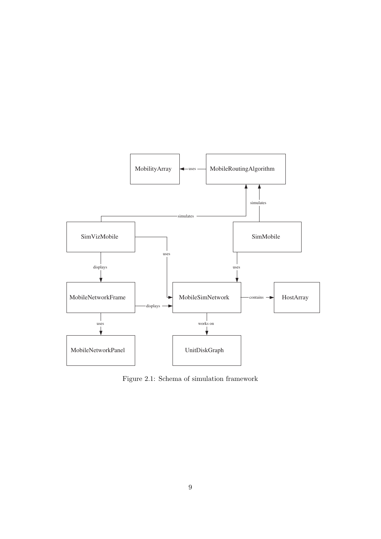

Figure 2.1: Schema of simulation framework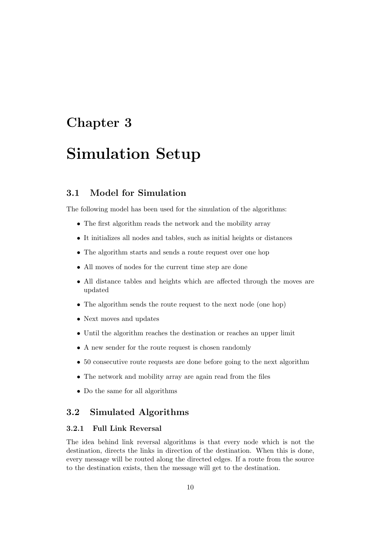# Chapter 3 Simulation Setup

#### 3.1 Model for Simulation

The following model has been used for the simulation of the algorithms:

- The first algorithm reads the network and the mobility array
- It initializes all nodes and tables, such as initial heights or distances
- The algorithm starts and sends a route request over one hop
- All moves of nodes for the current time step are done
- All distance tables and heights which are affected through the moves are updated
- The algorithm sends the route request to the next node (one hop)
- Next moves and updates
- Until the algorithm reaches the destination or reaches an upper limit
- A new sender for the route request is chosen randomly
- 50 consecutive route requests are done before going to the next algorithm
- The network and mobility array are again read from the files
- Do the same for all algorithms

#### 3.2 Simulated Algorithms

#### 3.2.1 Full Link Reversal

The idea behind link reversal algorithms is that every node which is not the destination, directs the links in direction of the destination. When this is done, every message will be routed along the directed edges. If a route from the source to the destination exists, then the message will get to the destination.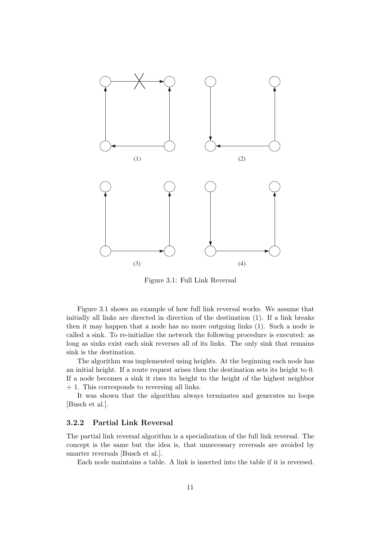

Figure 3.1: Full Link Reversal

Figure 3.1 shows an example of how full link reversal works. We assume that initially all links are directed in direction of the destination (1). If a link breaks then it may happen that a node has no more outgoing links (1). Such a node is called a sink. To re-initialize the network the following procedure is executed: as long as sinks exist each sink reverses all of its links. The only sink that remains sink is the destination.

The algorithm was implemented using heights. At the beginning each node has an initial height. If a route request arises then the destination sets its height to 0. If a node becomes a sink it rises its height to the height of the highest neighbor + 1. This corresponds to reversing all links.

It was shown that the algorithm always terminates and generates no loops [Busch et al.].

#### 3.2.2 Partial Link Reversal

The partial link reversal algorithm is a specialization of the full link reversal. The concept is the same but the idea is, that unnecessary reversals are avoided by smarter reversals [Busch et al.].

Each node maintains a table. A link is inserted into the table if it is reversed.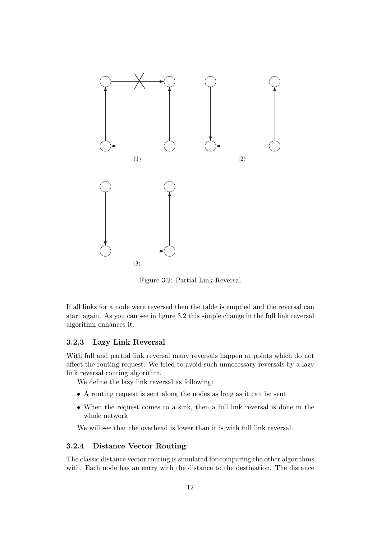

Figure 3.2: Partial Link Reversal

If all links for a node were reversed then the table is emptied and the reversal can start again. As you can see in figure 3.2 this simple change in the full link reversal algorithm enhances it.

#### 3.2.3 Lazy Link Reversal

With full and partial link reversal many reversals happen at points which do not affect the routing request. We tried to avoid such unnecessary reversals by a lazy link reversal routing algorithm.

We define the lazy link reversal as following:

- A routing request is sent along the nodes as long as it can be sent
- When the request comes to a sink, then a full link reversal is done in the whole network

We will see that the overhead is lower than it is with full link reversal.

#### 3.2.4 Distance Vector Routing

The classic distance vector routing is simulated for comparing the other algorithms with. Each node has an entry with the distance to the destination. The distance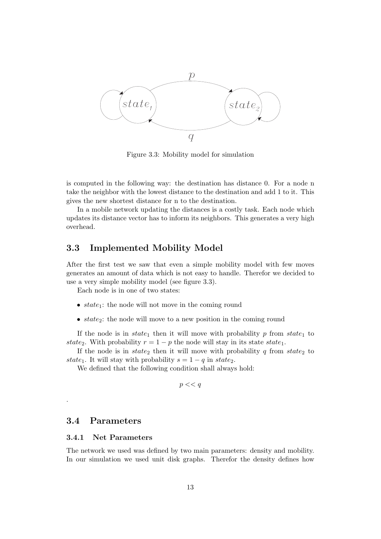

Figure 3.3: Mobility model for simulation

is computed in the following way: the destination has distance 0. For a node n take the neighbor with the lowest distance to the destination and add 1 to it. This gives the new shortest distance for n to the destination.

In a mobile network updating the distances is a costly task. Each node which updates its distance vector has to inform its neighbors. This generates a very high overhead.

#### 3.3 Implemented Mobility Model

After the first test we saw that even a simple mobility model with few moves generates an amount of data which is not easy to handle. Therefor we decided to use a very simple mobility model (see figure 3.3).

Each node is in one of two states:

- $state_1$ : the node will not move in the coming round
- $state_2$ : the node will move to a new position in the coming round

If the node is in state<sub>1</sub> then it will move with probability p from state<sub>1</sub> to state<sub>2</sub>. With probability  $r = 1 - p$  the node will stay in its state state<sub>1</sub>.

If the node is in  $state_2$  then it will move with probability q from  $state_2$  to state<sub>1</sub>. It will stay with probability  $s = 1 - q$  in state<sub>2</sub>.

We defined that the following condition shall always hold:

 $p \ll q$ 

#### 3.4 Parameters

.

#### 3.4.1 Net Parameters

The network we used was defined by two main parameters: density and mobility. In our simulation we used unit disk graphs. Therefor the density defines how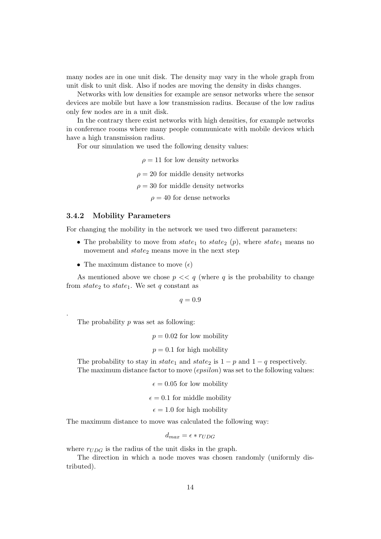many nodes are in one unit disk. The density may vary in the whole graph from unit disk to unit disk. Also if nodes are moving the density in disks changes.

Networks with low densities for example are sensor networks where the sensor devices are mobile but have a low transmission radius. Because of the low radius only few nodes are in a unit disk.

In the contrary there exist networks with high densities, for example networks in conference rooms where many people communicate with mobile devices which have a high transmission radius.

For our simulation we used the following density values:

 $\rho = 11$  for low density networks  $\rho = 20$  for middle density networks  $\rho = 30$  for middle density networks  $\rho = 40$  for dense networks

#### 3.4.2 Mobility Parameters

For changing the mobility in the network we used two different parameters:

- The probability to move from state<sub>1</sub> to state<sub>2</sub> (p), where state<sub>1</sub> means no movement and  $state_2$  means move in the next step
- The maximum distance to move  $(\epsilon)$

As mentioned above we chose  $p \ll q$  (where q is the probability to change from  $state_2$  to  $state_1$ . We set q constant as

$$
q = 0.9
$$

The probability  $p$  was set as following:

.

 $p = 0.02$  for low mobility

 $p = 0.1$  for high mobility

The probability to stay in state<sub>1</sub> and state<sub>2</sub> is  $1 - p$  and  $1 - q$  respectively. The maximum distance factor to move (epsilon) was set to the following values:

 $\epsilon = 0.05$  for low mobility

 $\epsilon = 0.1$  for middle mobility

 $\epsilon = 1.0$  for high mobility

The maximum distance to move was calculated the following way:

$$
d_{max} = \epsilon * r_{UDG}
$$

where  $r_{UDG}$  is the radius of the unit disks in the graph.

The direction in which a node moves was chosen randomly (uniformly distributed).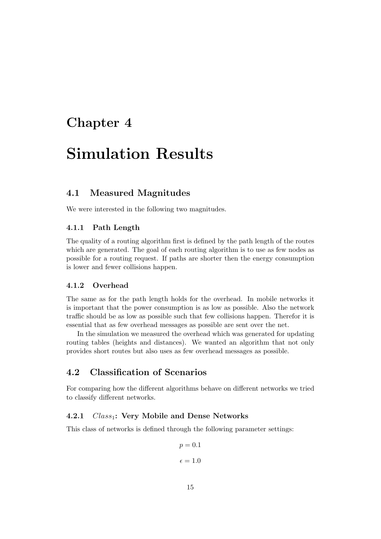## Chapter 4

## Simulation Results

#### 4.1 Measured Magnitudes

We were interested in the following two magnitudes.

#### 4.1.1 Path Length

The quality of a routing algorithm first is defined by the path length of the routes which are generated. The goal of each routing algorithm is to use as few nodes as possible for a routing request. If paths are shorter then the energy consumption is lower and fewer collisions happen.

#### 4.1.2 Overhead

The same as for the path length holds for the overhead. In mobile networks it is important that the power consumption is as low as possible. Also the network traffic should be as low as possible such that few collisions happen. Therefor it is essential that as few overhead messages as possible are sent over the net.

In the simulation we measured the overhead which was generated for updating routing tables (heights and distances). We wanted an algorithm that not only provides short routes but also uses as few overhead messages as possible.

#### 4.2 Classification of Scenarios

For comparing how the different algorithms behave on different networks we tried to classify different networks.

#### 4.2.1  $Class_1$ : Very Mobile and Dense Networks

This class of networks is defined through the following parameter settings:

$$
p = 0.1
$$
  

$$
\epsilon = 1.0
$$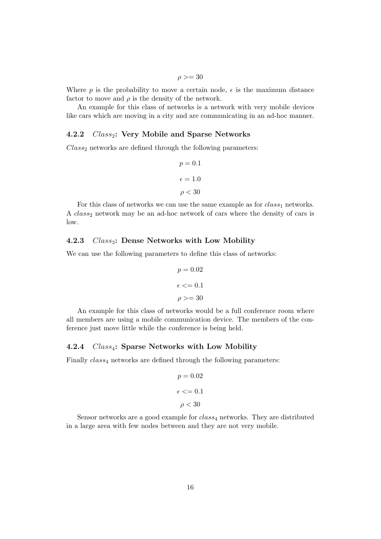$\rho \geq 30$ 

Where p is the probability to move a certain node,  $\epsilon$  is the maximum distance factor to move and  $\rho$  is the density of the network.

An example for this class of networks is a network with very mobile devices like cars which are moving in a city and are communicating in an ad-hoc manner.

#### 4.2.2  $Class_2$ : Very Mobile and Sparse Networks

 $Class_2$  networks are defined through the following parameters:

$$
p = 0.1
$$

$$
\epsilon = 1.0
$$

$$
\rho < 30
$$

For this class of networks we can use the same example as for  $class_1$  networks. A  $class_2$  network may be an ad-hoc network of cars where the density of cars is low.

#### 4.2.3  $Class_3$ : Dense Networks with Low Mobility

We can use the following parameters to define this class of networks:

$$
p = 0.02
$$

$$
\epsilon \le 0.1
$$

$$
\rho \ge 30
$$

An example for this class of networks would be a full conference room where all members are using a mobile communication device. The members of the conference just move little while the conference is being held.

#### 4.2.4  $Class_4$ : Sparse Networks with Low Mobility

Finally  $class_4$  networks are defined through the following parameters:

$$
p = 0.02
$$

$$
\epsilon \le 0.1
$$

$$
\rho < 30
$$

Sensor networks are a good example for  $class_4$  networks. They are distributed in a large area with few nodes between and they are not very mobile.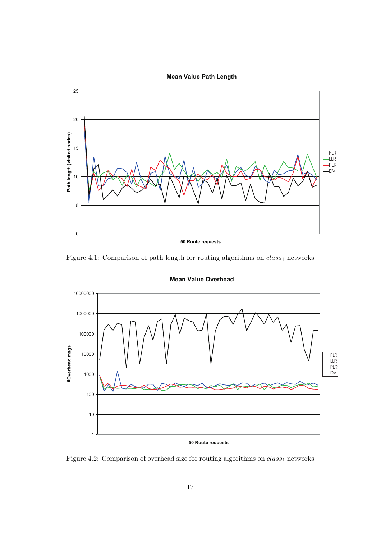#### **Mean Value Path Length**



Figure 4.1: Comparison of path length for routing algorithms on  $class_1$  networks



**Mean Value Overhead**

Figure 4.2: Comparison of overhead size for routing algorithms on  $class_1$  networks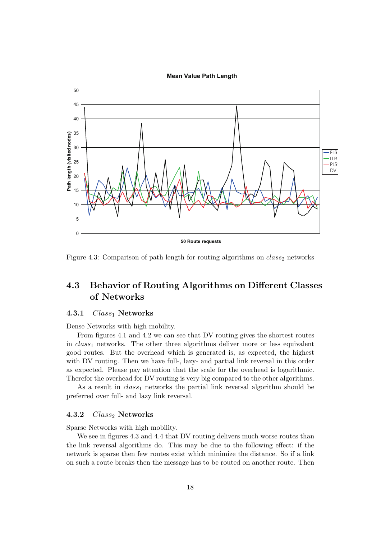#### **Mean Value Path Length**



Figure 4.3: Comparison of path length for routing algorithms on  $class_2$  networks

#### 4.3 Behavior of Routing Algorithms on Different Classes of Networks

#### 4.3.1  $Class_1$  Networks

Dense Networks with high mobility.

From figures 4.1 and 4.2 we can see that DV routing gives the shortest routes in  $class_1$  networks. The other three algorithms deliver more or less equivalent good routes. But the overhead which is generated is, as expected, the highest with DV routing. Then we have full-, lazy- and partial link reversal in this order as expected. Please pay attention that the scale for the overhead is logarithmic. Therefor the overhead for DV routing is very big compared to the other algorithms.

As a result in  $class_1$  networks the partial link reversal algorithm should be preferred over full- and lazy link reversal.

#### 4.3.2  $Class_2$  Networks

Sparse Networks with high mobility.

We see in figures 4.3 and 4.4 that DV routing delivers much worse routes than the link reversal algorithms do. This may be due to the following effect: if the network is sparse then few routes exist which minimize the distance. So if a link on such a route breaks then the message has to be routed on another route. Then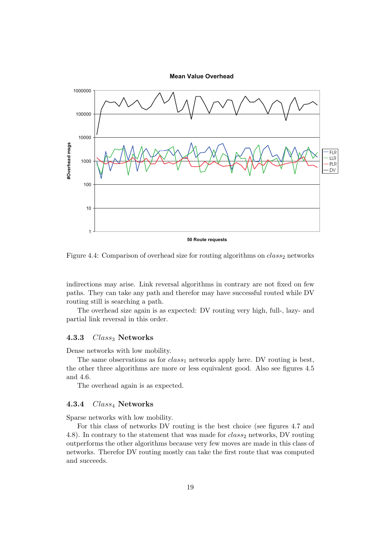**Mean Value Overhead**



Figure 4.4: Comparison of overhead size for routing algorithms on  $class_2$  networks

indirections may arise. Link reversal algorithms in contrary are not fixed on few paths. They can take any path and therefor may have successful routed while DV routing still is searching a path.

The overhead size again is as expected: DV routing very high, full-, lazy- and partial link reversal in this order.

#### 4.3.3  $Class_3$  Networks

Dense networks with low mobility.

The same observations as for  $class_1$  networks apply here. DV routing is best, the other three algorithms are more or less equivalent good. Also see figures 4.5 and 4.6.

The overhead again is as expected.

#### 4.3.4 Class<sub>4</sub> Networks

Sparse networks with low mobility.

For this class of networks DV routing is the best choice (see figures 4.7 and 4.8). In contrary to the statement that was made for  $class_2$  networks, DV routing outperforms the other algorithms because very few moves are made in this class of networks. Therefor DV routing mostly can take the first route that was computed and succeeds.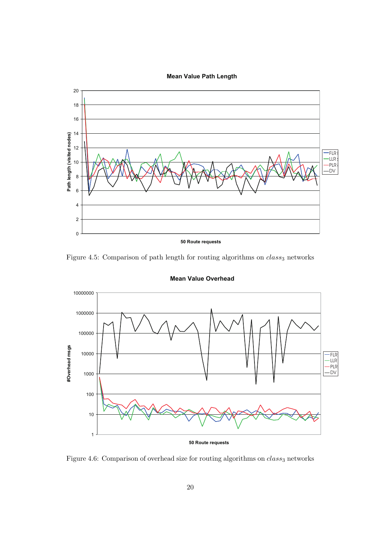#### **Mean Value Path Length**



Figure 4.5: Comparison of path length for routing algorithms on  $class_3$  networks



**Mean Value Overhead**

Figure 4.6: Comparison of overhead size for routing algorithms on  $class_3$  networks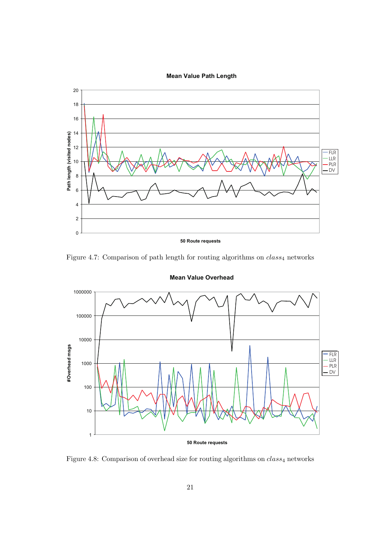

Figure 4.7: Comparison of path length for routing algorithms on  $class_4$  networks



**Mean Value Overhead**

Figure 4.8: Comparison of overhead size for routing algorithms on  $class_4$  networks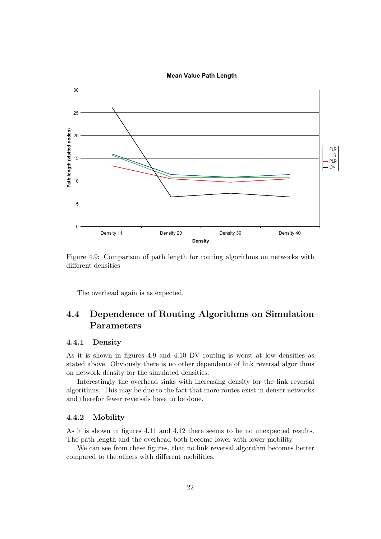#### **Mean Value Path Length**



Figure 4.9: Comparison of path length for routing algorithms on networks with different densities

The overhead again is as expected.

### 4.4 Dependence of Routing Algorithms on Simulation Parameters

#### 4.4.1 Density

As it is shown in figures 4.9 and 4.10 DV routing is worst at low densities as stated above. Obviously there is no other dependence of link reversal algorithms on network density for the simulated densities.

Interestingly the overhead sinks with increasing density for the link reversal algorithms. This may be due to the fact that more routes exist in denser networks and therefor fewer reversals have to be done.

#### 4.4.2 Mobility

As it is shown in figures 4.11 and 4.12 there seems to be no unexpected results. The path length and the overhead both become lower with lower mobility.

We can see from these figures, that no link reversal algorithm becomes better compared to the others with different mobilities.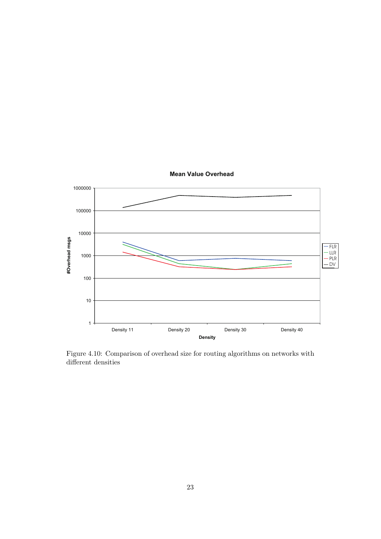

Figure 4.10: Comparison of overhead size for routing algorithms on networks with different densities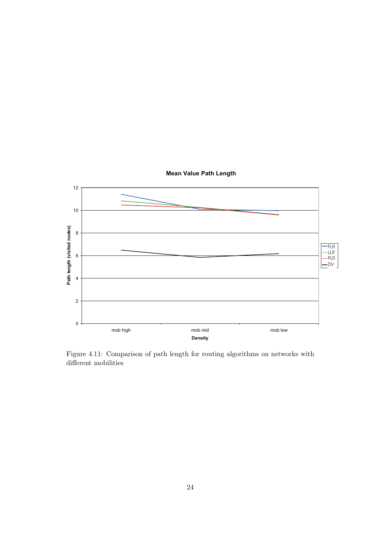

Figure 4.11: Comparison of path length for routing algorithms on networks with

different mobilities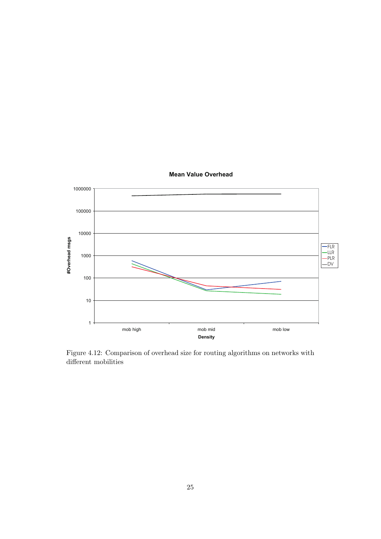

**Mean Value Overhead**

Figure 4.12: Comparison of overhead size for routing algorithms on networks with different mobilities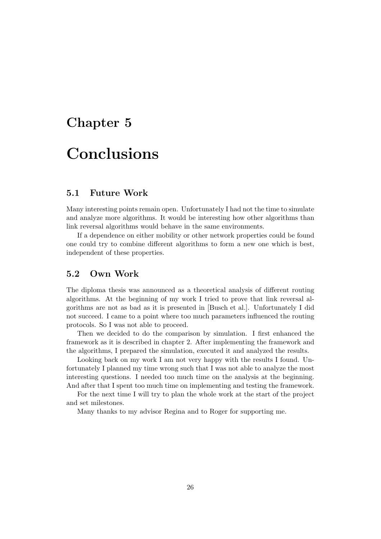## Chapter 5

# Conclusions

#### 5.1 Future Work

Many interesting points remain open. Unfortunately I had not the time to simulate and analyze more algorithms. It would be interesting how other algorithms than link reversal algorithms would behave in the same environments.

If a dependence on either mobility or other network properties could be found one could try to combine different algorithms to form a new one which is best, independent of these properties.

#### 5.2 Own Work

The diploma thesis was announced as a theoretical analysis of different routing algorithms. At the beginning of my work I tried to prove that link reversal algorithms are not as bad as it is presented in [Busch et al.]. Unfortunately I did not succeed. I came to a point where too much parameters influenced the routing protocols. So I was not able to proceed.

Then we decided to do the comparison by simulation. I first enhanced the framework as it is described in chapter 2. After implementing the framework and the algorithms, I prepared the simulation, executed it and analyzed the results.

Looking back on my work I am not very happy with the results I found. Unfortunately I planned my time wrong such that I was not able to analyze the most interesting questions. I needed too much time on the analysis at the beginning. And after that I spent too much time on implementing and testing the framework.

For the next time I will try to plan the whole work at the start of the project and set milestones.

Many thanks to my advisor Regina and to Roger for supporting me.